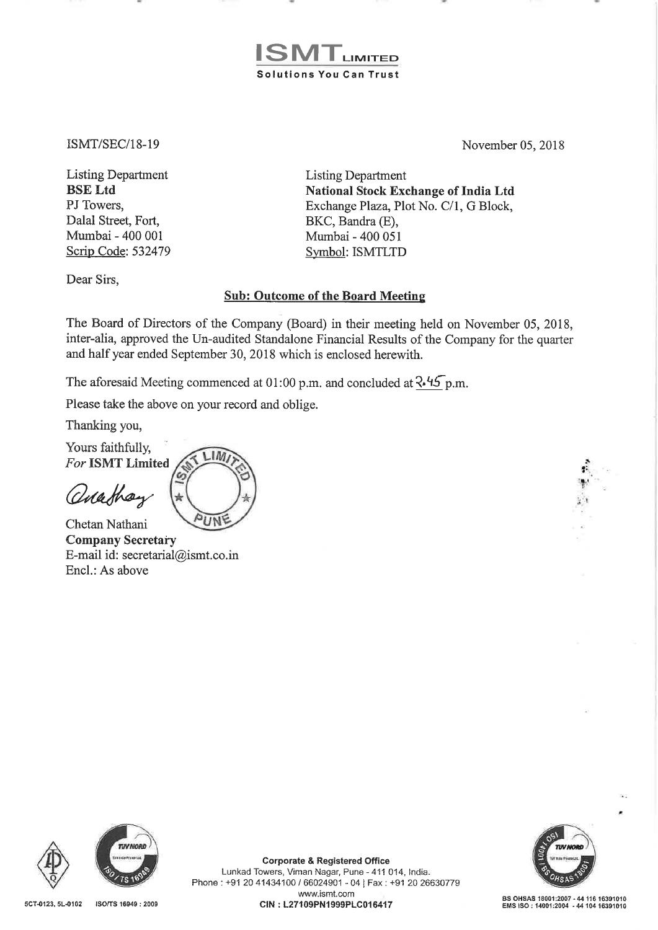## LIMITED Solutions You Can Trust

ISMT/SEC/18-19

Listing Department BSE Ltd PJ Towers. Dalal Street, Fort, Mumbai - 400 001 Scrip Code: 532479 November 05, 2018

Listing Department National Stock Exchange of India Ltd Exchange Plaza, Plot No. C/1, G Block, BKC, Bandra (E), Mumbai - 400 051 Symbol: ISMTLTD

Dear Sirs,

## Sub: Outcome of the Board Meeting

The Board of Directors of the Company (Board) in their meeting held on November 05, 2018, inter-alia, approved the Un-audited Standalone Financial Results of the Company for the quarter and half year ended September 30, 2018 which is enclosed herewith.

The aforesaid Meeting commenced at 01:00 p.m. and concluded at  $\lambda$ -45 p.m.

Please take the above on your record and oblige.

.I M

Thanking you,

Yours faithfully, For ISMT Limited

anathay

Encl.: As above

UNF Chetan Nathani Company Secretary E-mail id: secretarial@ismt.co.in





Corporate & Registered Office Lunkad Towers, Viman Nagar, Pune- 411 014, India. Phone: +91 20 41434100 / 66024901 - 04 | Fax : +91 20 26630779 www.ismt.com BS OHSAS 18001:2007 - 44 116 16391010<br>EMS ISO : 14001:2004 - 44 104 16391010 EMS ISO : 14001:2004 - 44 104 16391010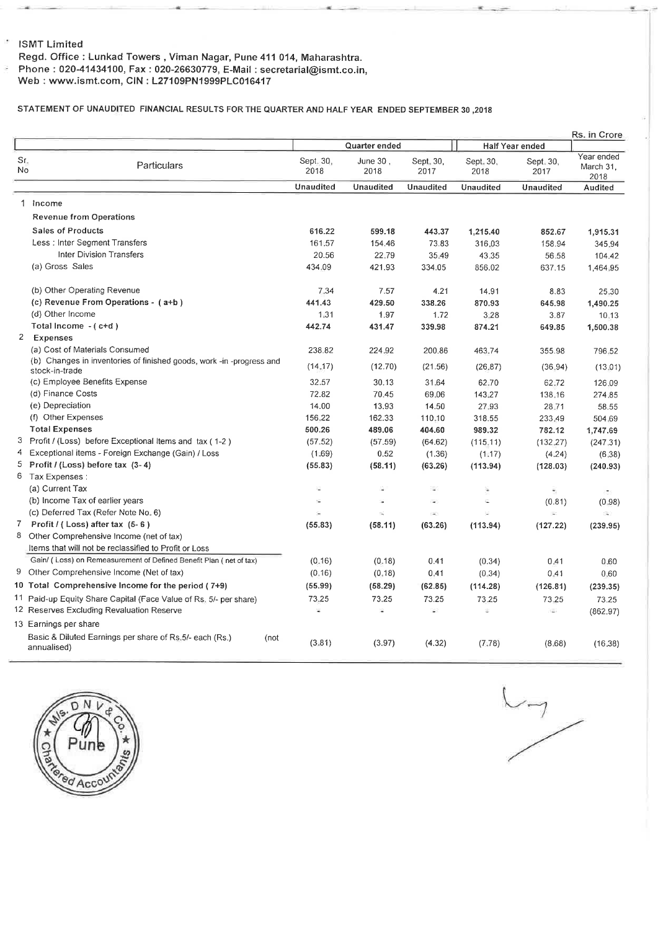#### ISMT Limited

 $\overline{\phantom{a}}$ 

g

Regd. Office : Lunkad Towers , Viman Nagar, Pune 411 014, Maharashtra. Phone: 020-41434100, Fax: 020-26630779, E-Mail: secretarial@ismt.co.in,

Web: www.ismt.com, GIN: L27109PN1999PLC016417

#### STATEMENT OF UNAUDITED FINANCIAL RESULTS FOR THE QUARTER AND HALF YEAR ENDED SEPTEMBER 30 ,<sup>2018</sup>

|           |                                                                                        |                   |                     |                   |                   |                        | Rs. in Crore                   |
|-----------|----------------------------------------------------------------------------------------|-------------------|---------------------|-------------------|-------------------|------------------------|--------------------------------|
|           |                                                                                        |                   | Quarter ended       |                   |                   | <b>Half Year ended</b> |                                |
| Sr.<br>No | Particulars                                                                            | Sept. 30,<br>2018 | June $30$ ,<br>2018 | Sept. 30,<br>2017 | Sept. 30,<br>2018 | Sept. 30,<br>2017      | Year ended<br>March 31<br>2018 |
|           |                                                                                        | <b>Unaudited</b>  | Unaudited           | <b>Unaudited</b>  | Unaudited         | Unaudited              | Audited                        |
|           | 1 Income                                                                               |                   |                     |                   |                   |                        |                                |
|           | <b>Revenue from Operations</b>                                                         |                   |                     |                   |                   |                        |                                |
|           | <b>Sales of Products</b>                                                               | 616.22            | 599.18              | 443.37            | 1,215.40          | 852.67                 | 1,915.31                       |
|           | Less: Inter Segment Transfers                                                          | 161.57            | 154.46              | 73.83             | 316.03            | 158.94                 | 345.94                         |
|           | <b>Inter Division Transfers</b>                                                        | 20.56             | 22.79               | 35.49             | 43.35             | 56.58                  | 104.42                         |
|           | (a) Gross Sales                                                                        | 434.09            | 421.93              | 334.05            | 856.02            | 637.15                 | 1,464.95                       |
|           |                                                                                        |                   |                     |                   |                   |                        |                                |
|           | (b) Other Operating Revenue                                                            | 7.34              | 7.57                | 4.21              | 14.91             | 8.83                   | 25.30                          |
|           | (c) Revenue From Operations - (a+b)                                                    | 441.43            | 429.50              | 338.26            | 870.93            | 645.98                 | 1,490.25                       |
|           | (d) Other Income                                                                       | 1:31              | 1.97                | 1.72              | 3.28              | 3.87                   | 10.13                          |
|           | Total Income - (c+d)                                                                   | 442.74            | 431.47              | 339.98            | 874.21            | 649.85                 | 1,500.38                       |
|           | 2 Expenses                                                                             |                   |                     |                   |                   |                        |                                |
|           | (a) Cost of Materials Consumed                                                         | 238.82            | 224.92              | 200.86            | 463.74            | 355.98                 | 796.52                         |
|           | (b) Changes in inventories of finished goods, work -in -progress and<br>stock-in-trade | (14.17)           | (12.70)             | (21.56)           | (26.87)           | (36.94)                | (13.01)                        |
|           | (c) Employee Benefits Expense                                                          | 32.57             | 30.13               | 31.64             | 62.70             | 62.72                  | 126.09                         |
|           | (d) Finance Costs                                                                      | 72.82             | 70.45               | 69.06             | 143.27            | 138.16                 | 274.85                         |
|           | (e) Depreciation                                                                       | 14.00             | 13.93               | 14.50             | 27.93             | 28.71                  | 58.55                          |
|           | (f) Other Expenses                                                                     | 156,22            | 162.33              | 110-10            | 318.55            | 233.49                 | 504.69                         |
|           | <b>Total Expenses</b>                                                                  | 500.26            | 489.06              | 404.60            | 989.32            | 782.12                 | 1,747.69                       |
|           | 3 Profit / (Loss) before Exceptional Items and tax (1-2)                               | (57.52)           | (57.59)             | (64.62)           | (115, 11)         | (132, 27)              | (247.31)                       |
|           | 4 Exceptional items - Foreign Exchange (Gain) / Loss                                   | (1.69)            | 0.52                | (1.36)            | (1.17)            | (4.24)                 | (6.38)                         |
|           | 5 Profit / (Loss) before tax (3-4)                                                     | (55.83)           | (58.11)             | (63.26)           | (113.94)          | (128.03)               | (240.93)                       |
|           | 6 Tax Expenses :                                                                       |                   |                     |                   |                   |                        |                                |
|           | (a) Current Tax                                                                        | ÷,                | s                   | ×                 | ÷                 |                        |                                |
|           | (b) Income Tax of earlier years                                                        | 辩                 |                     | ÷                 | S.                | (0.81)                 | (0.98)                         |
|           | (c) Deferred Tax (Refer Note No. 6)                                                    | ×                 | ω.                  | $\sim$            |                   | ¥.                     | G)                             |
|           | 7 Profit / (Loss) after tax (5-6)                                                      | (55.83)           | (58.11)             | (63.26)           | (113.94)          | (127.22)               | (239.95)                       |
|           | 8 Other Comprehensive Income (net of tax)                                              |                   |                     |                   |                   |                        |                                |
|           | Items that will not be reclassified to Profit or Loss                                  |                   |                     |                   |                   |                        |                                |
|           | Gain/ (Loss) on Remeasurement of Defined Benefit Plan (net of tax)                     | (0.16)            | (0.18)              | 0.41              | (0.34)            | 0.41                   | 0.60                           |
|           | 9 Other Comprehensive Income (Net of tax)                                              | (0.16)            | (0, 18)             | 0.41              | (0.34)            | 0.41                   | 0.60                           |
|           | 10 Total Comprehensive Income for the period (7+9)                                     | (55.99)           | (58.29)             | (62.85)           | (114.28)          | (126.81)               | (239.35)                       |
|           | 11 Paid-up Equity Share Capital (Face Value of Rs. 5/- per share)                      | 73.25             | 73.25               | 73.25             | 73.25             | 73.25                  | 73.25                          |
|           | 12 Reserves Excluding Revaluation Reserve                                              | ¥                 | ÷,                  | ¥.                | Ξ                 | $\sim$                 | (862.97)                       |
|           | 13 Earnings per share                                                                  |                   |                     |                   |                   |                        |                                |
|           | Basic & Diluted Earnings per share of Rs. 5/- each (Rs.)<br>(not<br>annualised)        | (3.81)            | (3.97)              | (4.32)            | (7.78)            | (8.68)                 | (16.38)                        |



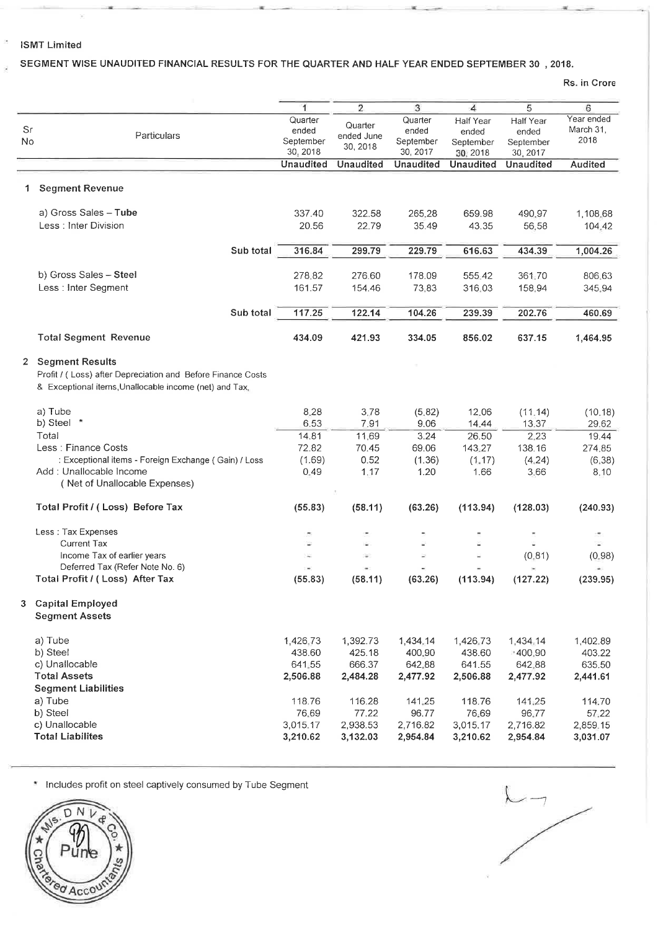## **ISMT Limited**

## **SEGMENT WISE UNAUDITED FINANCIAL RESULTS FOR THE QUARTER AND HALF YEAR ENDED SEPTEMBER 30 , 2018.**

•

**Rs. in Crore** 

|                |                                                                                 | 1         | $\overline{2}$   | 3                | 4                | 5                            | 6              |
|----------------|---------------------------------------------------------------------------------|-----------|------------------|------------------|------------------|------------------------------|----------------|
|                |                                                                                 | Quarter   | Quarter          | Quarter          | Half Year        | Half Year                    | Year ended     |
| Sr             | Particulars                                                                     | ended     | ended June       | ended            | ended            | ended                        | March 31.      |
| No             |                                                                                 | September | 30, 2018         | September        | September        | September                    | 2018           |
|                |                                                                                 | 30, 2018  |                  | 30, 2017         | 30, 2018         | 30, 2017<br><b>Unaudited</b> |                |
|                |                                                                                 | Unaudited | <b>Unaudited</b> | <b>Unaudited</b> | <b>Unaudited</b> |                              | <b>Audited</b> |
| 1.             | <b>Segment Revenue</b>                                                          |           |                  |                  |                  |                              |                |
|                | a) Gross Sales - Tube                                                           | 337.40    | 322.58           | 265.28           | 659.98           | 490.97                       | 1,108.68       |
|                | Less : Inter Division                                                           | 20.56     | 22.79            | 35.49            | 43.35            | 56.58                        | 104.42         |
|                |                                                                                 |           |                  |                  |                  |                              |                |
|                | Sub total                                                                       | 316.84    | 299.79           | 229.79           | 616.63           | 434.39                       | 1,004.26       |
|                | b) Gross Sales - Steel                                                          | 278.82    | 276.60           | 178.09           | 555,42           | 361.70                       | 806.63         |
|                | Less : Inter Segment                                                            | 161.57    | 154.46           | 73.83            | 316.03           | 158.94                       | 345.94         |
|                |                                                                                 |           |                  |                  |                  |                              |                |
|                | Sub total                                                                       | 117.25    | 122.14           | 104.26           | 239.39           | 202.76                       | 460.69         |
|                | <b>Total Segment Revenue</b>                                                    | 434.09    | 421.93           | 334.05           | 856.02           | 637.15                       | 1,464.95       |
| $\overline{2}$ | <b>Segment Results</b>                                                          |           |                  |                  |                  |                              |                |
|                | Profit / (Loss) after Depreciation and Before Finance Costs                     |           |                  |                  |                  |                              |                |
|                | & Exceptional items, Unallocable income (net) and Tax.                          |           |                  |                  |                  |                              |                |
|                | a) Tube                                                                         | 8.28      | 3.78             | (5.82)           | 12.06            | (11.14)                      | (10.18)        |
|                | b) Steel *                                                                      | 6.53      | 7.91             | 9.06             | 14.44            | 13.37                        | 29.62          |
|                | Total                                                                           | 14.81     | 11:69            | 3.24             | 26.50            | 2.23                         | 19.44          |
|                | Less: Finance Costs                                                             | 72.82     | 70.45            | 69.06            | 143.27           | 138.16                       | 274.85         |
|                | : Exceptional items - Foreign Exchange (Gain) / Loss<br>Add: Unallocable Income | (1.69)    | 0.52             | (1.36)           | (1.17)           | (4.24)                       | (6.38)         |
|                | (Net of Unallocable Expenses)                                                   | 0.49      | 1.17             | 1.20             | 1.66             | 3.66                         | 8,10           |
|                |                                                                                 |           |                  |                  |                  |                              |                |
|                | Total Profit / (Loss) Before Tax                                                | (55.83)   | (58.11)          | (63.26)          | (113.94)         | (128.03)                     | (240.93)       |
|                | Less: Tax Expenses                                                              | C.        |                  |                  |                  |                              | ÷.             |
|                | Current Tax                                                                     | ù.        |                  |                  | Ø.               |                              | ц.             |
|                | Income Tax of earlier years                                                     |           | ×                |                  |                  | (0.81)                       | (0.98)         |
|                | Deferred Tax (Refer Note No. 6)                                                 |           |                  |                  |                  |                              |                |
|                | Total Profit / (Loss) After Tax                                                 | (55.83)   | (58.11)          | (63.26)          | (113.94)         | (127.22)                     | (239.95)       |
|                | 3 Capital Employed<br><b>Segment Assets</b>                                     |           |                  |                  |                  |                              |                |
|                | a) Tube                                                                         | 1,426,73  | 1,392.73         | 1,434,14         | 1,426.73         | 1,434.14                     | 1,402.89       |
|                | b) Steel                                                                        | 438.60    | 425.18           | 400.90           | 438.60           | ■400.90                      | 403.22         |
|                | c) Unallocable                                                                  | 641,55    | 666.37           | 642.88           | 641.55           | 642.88                       | 635.50         |
|                | <b>Total Assets</b>                                                             | 2,506.88  | 2,484.28         | 2,477.92         | 2,506.88         | 2,477.92                     | 2,441.61       |
|                | <b>Segment Liabilities</b>                                                      |           |                  |                  |                  |                              |                |
|                | a) Tube                                                                         | 118.76    | 116.28           | 141,25           | 118.76           | 141.25                       | 114.70         |
|                | b) Steel                                                                        | 76.69     | 77.22            | 96.77            | 76.69            | 96.77                        | 57.22          |
|                | c) Unallocable                                                                  | 3,015.17  | 2,938.53         | 2,716.82         | 3.015.17         | 2,716.82                     | 2,859.15       |
|                | <b>Total Liabilites</b>                                                         | 3,210.62  | 3,132.03         | 2,954.84         | 3,210.62         | 2,954.84                     | 3,031.07       |

**w** Includes profit on steel captively consumed by Tube Segment



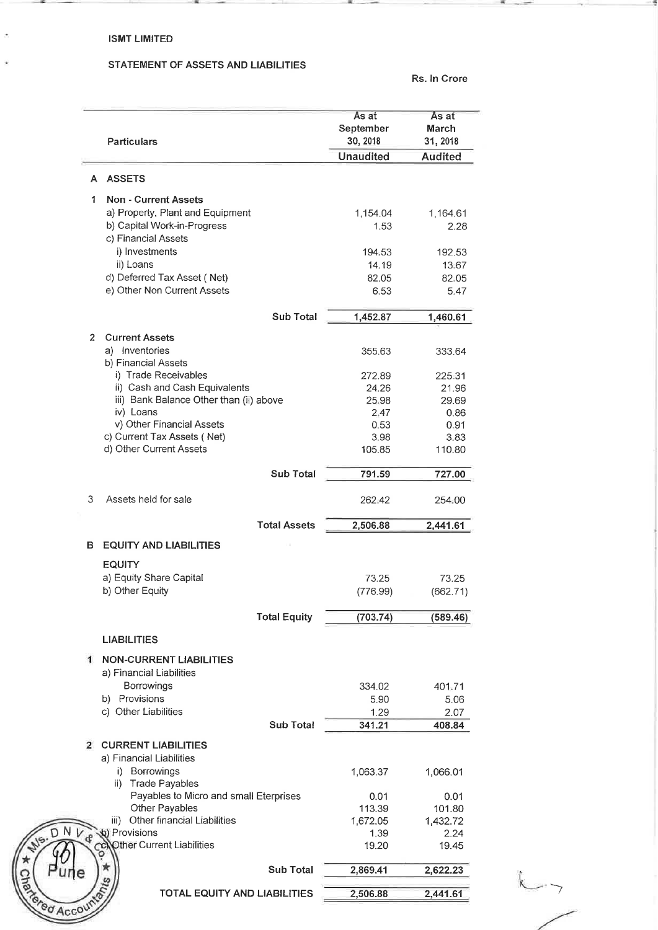## ISMT LIMITED

--

 $\overline{a}$ 

 $\hat{\mathbf{z}}$ 

## STATEMENT OF ASSETS AND LIABILITIES

--

Rs.ln Crore

-

|                | <b>Particulars</b>                                      | As at<br>September<br>30, 2018 | Às at<br>March<br>31, 2018 |
|----------------|---------------------------------------------------------|--------------------------------|----------------------------|
|                |                                                         | <b>Unaudited</b>               | <b>Audited</b>             |
|                | A ASSETS                                                |                                |                            |
| 1.             | <b>Non - Current Assets</b>                             |                                |                            |
|                | a) Property, Plant and Equipment                        | 1,154.04                       | 1,164.61                   |
|                | b) Capital Work-in-Progress                             | 1.53                           | 2.28                       |
|                | c) Financial Assets                                     |                                |                            |
|                | i) Investments                                          | 194.53                         | 192.53                     |
|                | ii) Loans                                               | 14.19                          | 13.67                      |
|                | d) Deferred Tax Asset (Net)                             | 82.05                          | 82.05                      |
|                | e) Other Non Current Assets                             | 6.53                           | 5.47                       |
|                | <b>Sub Total</b>                                        | 1,452.87                       | 1,460.61                   |
| $\mathbf{2}$   | <b>Current Assets</b>                                   |                                |                            |
|                | a) Inventories                                          | 355.63                         | 333.64                     |
|                | b) Financial Assets                                     |                                |                            |
|                | i) Trade Receivables                                    | 272.89                         | 225.31                     |
|                | ii) Cash and Cash Equivalents                           | 24.26                          | 21.96                      |
|                | iii) Bank Balance Other than (ii) above                 | 25.98                          | 29.69                      |
|                | iv) Loans                                               | 2.47                           | 0.86                       |
|                | v) Other Financial Assets                               | 0.53                           | 0.91                       |
|                | c) Current Tax Assets (Net)                             | 3.98                           | 3.83                       |
|                | d) Other Current Assets                                 | 105.85                         | 110.80                     |
|                | <b>Sub Total</b>                                        | 791.59                         | 727.00                     |
| 3              | Assets held for sale                                    | 262.42                         | 254.00                     |
|                | <b>Total Assets</b>                                     | 2,506.88                       | 2,441.61                   |
| в              | <b>EQUITY AND LIABILITIES</b>                           |                                |                            |
|                | <b>EQUITY</b>                                           |                                |                            |
|                |                                                         |                                | 73.25                      |
|                |                                                         |                                |                            |
|                | a) Equity Share Capital                                 | 73.25                          |                            |
|                | b) Other Equity                                         | (776.99)                       | (662.71)                   |
|                | <b>Total Equity</b>                                     | (703.74)                       | (589.46)                   |
|                | <b>LIABILITIES</b>                                      |                                |                            |
|                | <b>NON-CURRENT LIABILITIES</b>                          |                                |                            |
| 1              | a) Financial Liabilities                                |                                |                            |
|                | Borrowings                                              | 334.02                         | 401.71                     |
|                | b) Provisions                                           | 5.90                           | 5.06                       |
|                | c) Other Liabilities                                    | 1.29                           | 2.07                       |
|                | <b>Sub Total</b>                                        | 341.21                         | 408.84                     |
| $\overline{2}$ | <b>CURRENT LIABILITIES</b>                              |                                |                            |
|                | a) Financial Liabilities                                |                                |                            |
|                | i) Borrowings                                           | 1,063.37                       | 1,066.01                   |
|                | <b>Trade Payables</b><br>ii)                            |                                |                            |
|                | Payables to Micro and small Eterprises                  | 0.01                           | 0.01                       |
|                | Other Payables                                          | 113.39                         | 101.80                     |
|                | iii) Other financial Liabilities                        | 1,672.05                       | 1,432.72                   |
|                | (b) Provisions<br>Other Current Liabilities             | 1.39<br>19.20                  | 2.24<br>19.45              |
|                |                                                         |                                |                            |
|                | <b>Sub Total</b><br><b>TOTAL EQUITY AND LIABILITIES</b> | 2,869.41                       | 2,622.23                   |

/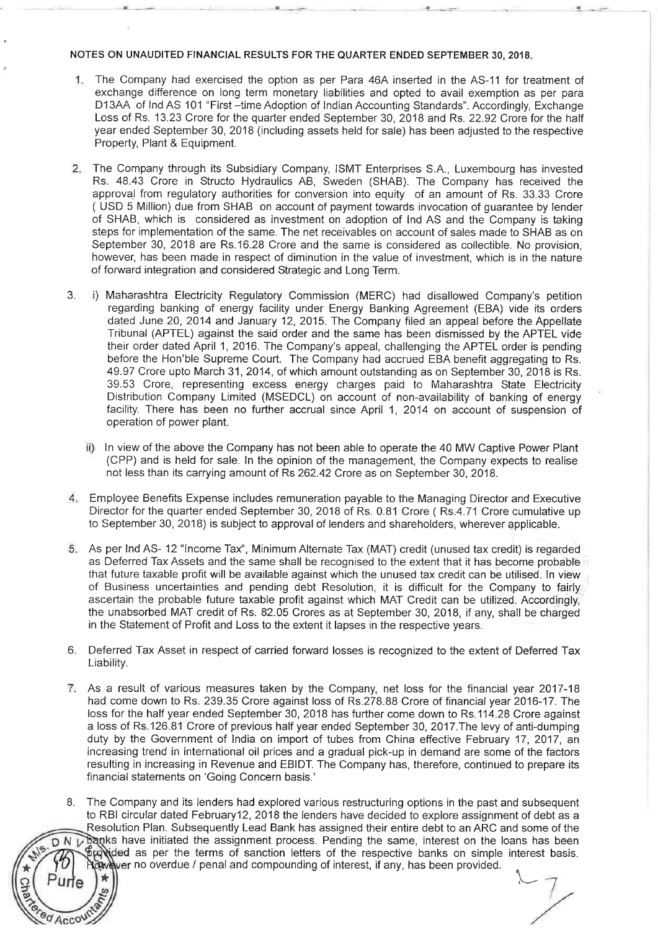#### NOTES ON UNAUDITED FINANCIAL RESULTS FOR THE QUARTER ENDED SEPTEMBER 30, 2018.

- 1. The Company had exercised the option as per Para 46A inserted in the AS-11 for treatment of exchange difference on long term monetary liabilities and opted to avail exemption as per para D13AA of lnd AS 101 "First -time Adoption of Indian Accounting Standards". Accordingly, Exchange Loss of Rs. 13.23 Crore for the quarter ended September 30, 2018 and Rs. 22.92 Crore for the half year ended September 30, 2018 (including assets held for sale) has been adjusted to the respective Property, Plant & Equipment.
- 2. The Company through its Subsidiary Company, ISMT Enterprises SA, Luxembourg has invested Rs. 48.43 Crore in Structo Hydraulics AB, Sweden (SHAB). The Company has received the approval from regulatory authorities for conversion into equity of an amount of Rs. 33.33 Crore ( USD 5 Million) due from SHAB on account of payment towards invocation of guarantee by lender of SHAB, which is considered as investment on adoption of lnd AS and the Company is taking steps for implementation of the same. The net receivables on account of sales made to SHAB as on September 30, 2018 are Rs.16.28 Crore and the same is considered as collectible. No provision, however, has been made in respect of diminution in the value of investment, which is in the nature of forward integration and considered Strategic and Long Term.
- 3. i) Maharashtra Electricity Regulatory Commission (MERC) had disallowed Company's petition regarding banking of energy facility under Energy Banking Agreement (EBA) vide its orders dated June 20, 2014 and January 12, 2015. The Company filed an appeal before the Appellate Tribunal (APTEL) against the said order and the same has been dismissed by the APTEL vide their order dated April 1, 2016. The Company's appeal, challenging the APTEL order is pending before the Hon'ble Supreme Court. The Company had accrued EBA benefit aggregating to Rs. 49.97 Crore upto March 31, 2014, of which amount outstanding as on September 30, 2018 is Rs. 39.53 Crore, representing excess energy charges paid to Maharashtra State Electricity Distribution Company Limited (MSEDCL) on account of non-availability of banking of energy facility. There has been no further accrual since April 1, 2014 on account of suspension of operation of power plant.
	- ii) In view of the above the Company has not been able to operate the 40 MW Captive Power Plant (CPP) and is held for sale. In the opinion of the management, the Company expects to realise not less than its carrying amount of Rs 262.42 Crore as on September 30, 2018.
- 4. Employee Benefits Expense includes remuneration payable to the Managing Director and Executive Director for the quarter ended September 30, 2018 of Rs. 0.81 Crore (Rs.4.71 Crore cumulative up to September 30, 2018) is subject to approval of lenders and shareholders, wherever applicable.
- 5. As per lnd AS- <sup>12</sup>"Income Tax'', Minimum Alternate Tax (MAT) credit (unused tax credit) is regarded as Deferred Tax Assets and the same shall be recognised to the extent that it has become probable that future taxable profit will be available against which the unused tax credit can be utilised. In view of Business uncertainties and pending debt Resolution, it is difficult for the Company to fairly ascertain the probable future taxable profit against which MAT Credit can be utilized. Accordingly, the unabsorbed MAT credit of Rs. 82.05 Crores as at September 30, 2018, if any, shall be charged in the Statement of Profit and Loss to the extent it lapses in the respective years.
- 6. Deferred Tax Asset in respect of carried forward losses is recognized to the extent of Deferred Tax Liability.
- 7. As a result of various measures taken by the Company, net loss for the financial year 2017-18 had come down to Rs. 239.35 Crore against loss of Rs.278.88 Crore of financial year 2016-17. The loss for the half year ended September 30, 2018 has further come down to Rs.114.28 Crore against a loss of Rs.126.81 Crore of previous half year ended September 30, 2017.The levy of anti-dumping duty by the Government of India on import of tubes from China effective February 17, 2017, an increasing trend in international oil prices and a gradual pick-up in demand are some of the factors resulting in increasing in Revenue and EBIDT. The Company has, therefore, continued to prepare its financial statements on 'Going Concern basis.'
- The Company and its lenders had explored various restructuring options in the past and subsequent 8. to RBI circular dated February 12, 2018 the lenders have decided to explore assignment of debt as a Resolution Plan. Subsequently Lead Bank has assigned their entire debt to an ARC and some of the banks have initiated the assignment process. Pending the same, interest on the loans has been DNV Bronided as per the terms of sanction letters of the respective banks on simple interest basis. cowever no overdue / penal and compounding of interest, if any, has been provided.

Accou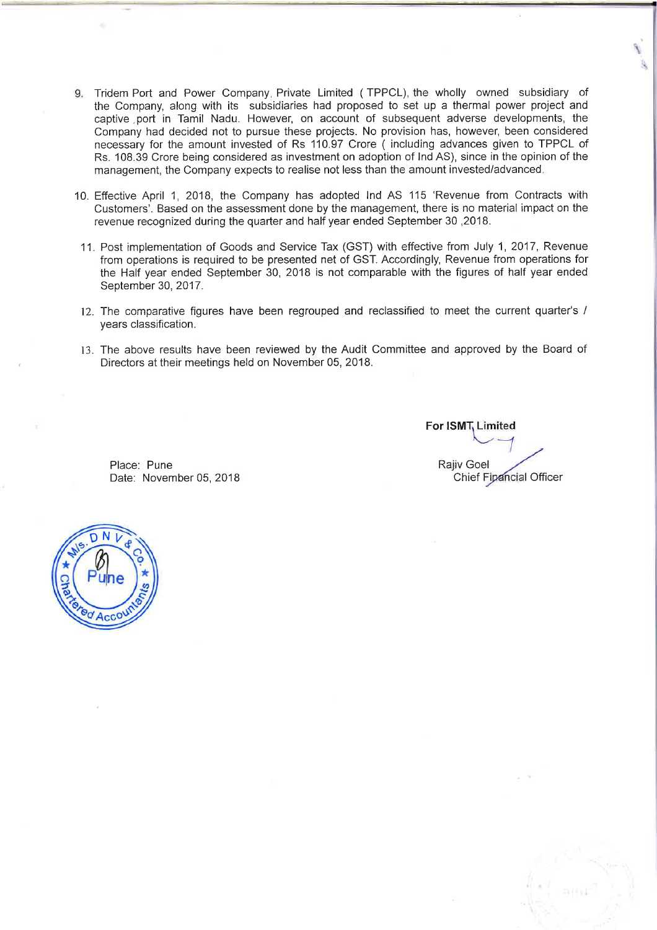- 9. Tridem Port and Power Company, Private Limited ( TPPCL), the wholly owned subsidiary of the Company, along with its subsidiaries had proposed to set up a thermal power project and captive , port in Tamil Nadu. However, on account of subsequent adverse developments, the Company had decided not to pursue these projects. No provision has, however, been considered necessary for the amount invested of Rs 110.97 Crore ( including advances given to TPPCL of Rs. 108.39 Crore being considered as investment on adoption of lnd AS), since in the opinion of the management, the Company expects to realise not less than the amount invested/advanced.
- 10. Effective April 1, 2018, the Company has adopted lnd AS 115 'Revenue from Contracts with Customers'. Based on the assessment done by the management, there is no material impact on the revenue recognized during the quarter and half year ended September 30 ,2018.
- 11. Post implementation of Goods and Service Tax (GST) with effective from July 1, 2017, Revenue from operations is required to be presented net of GST. Accordingly, Revenue from operations for the Half year ended September 30, 2018 is not comparable with the figures of half year ended September 30, 2017.
- 12. The comparative figures have been regrouped and reclassified to meet the current quarter's / years classification.
- 13. The above results have been reviewed by the Audit Committee and approved by the Board of Directors at their meetings held on November 05, 2018.

**For ISMT Limited** I Rajiv Goel / Chief Fipancial Officer

Place: Pune Date: November 05, 2018

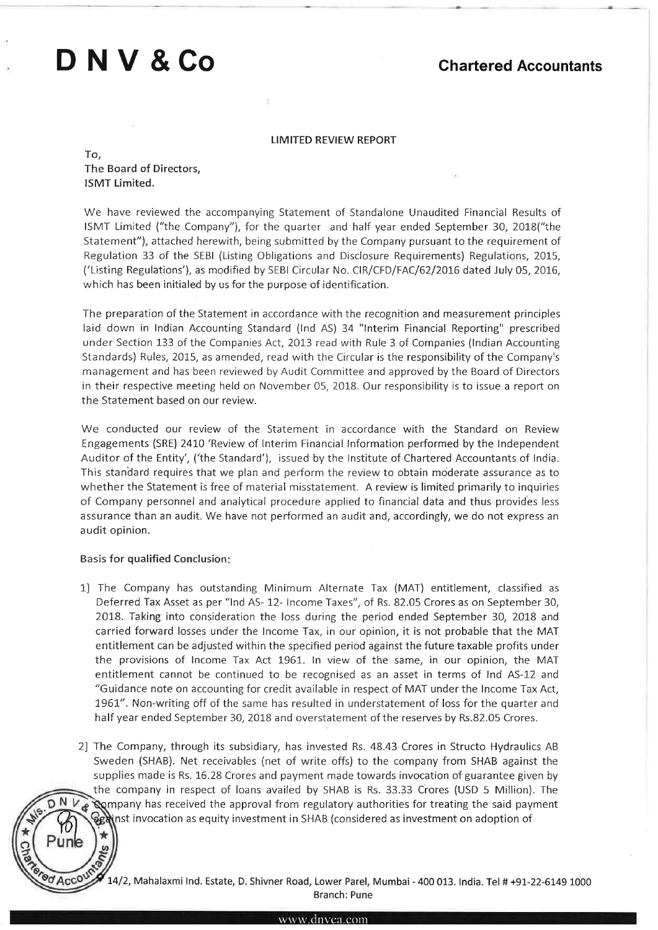# **D NV &Co**

## **Chartered Accountants**

#### LIMITED REVIEW REPORT

To, The Board of Directors, ISMT Limited.

We have reviewed the accompanying Statement of Standalone Unaudited Financial Results of ISMT Limited ("the Company"), for the quarter and half year ended September 30, 2018("the Statement"), attached herewith, being submitted by the Company pursuant to the requirement of Regulation 33 of the SEBI (Listing Obligations and Disclosure Requirements) Regulations, 2015, ('Listing Regulations'), as modified by SEBI Circular No. CIR/CFD/FAC/62/2016 dated July 05, 2016, which has been initialed by us for the purpose of identification.

The preparation of the Statement in accordance with the recognition and measurement principles laid down in Indian Accounting Standard (lnd AS) 34 "Interim Financial Reporting" prescribed under Section 133 of the Companies Act, 2013 read with Rule 3 of Companies (indian Accounting Standards) Rules, 2015, as amended, read with the Circular is the responsibility of the Company's management and has been reviewed by Audit Committee and approved by the Board of Directors in their respective meeting held on November 05, 2018. Our responsibility is to issue a report on the Statement based on our review.

We conducted our review of the Statement in accordance with the Standard on Review Engagements (SRE) 2410 'Review of Interim Financial Information performed by the Independent Auditor of the Entity', ('the Standard'), issued by the Institute of Chartered Accountants of India. This standard requires that we plan and perform the review to obtain moderate assurance as to whether the Statement is free of material misstatement. A review is limited primarily to inquiries of Company personnel and analytical procedure applied to financial data and thus provides less assurance than an audit. We have not performed an audit and, accordingly, we do not express an audit opinion.

#### Basis for qualified Conclusion:

- 1) The Company has outstanding Minimum Alternate Tax (MAT) entitlement, classified as Deferred Tax Asset as per "lnd AS- 12- Income Taxes", of Rs. 82.05 Crores as on September 30, 2018. Taking into consideration the loss during the period ended September 30, 2018 and carried forward losses under the Income Tax, in our opinion, it is not probable that the MAT entitlement can be adjusted within the specified period against the future taxable profits under the provisions of Income Tax Act 1961. In view of the same, in our opinion, the MAT entitlement cannot be continued to be recognised as an asset in terms of lnd AS-12 and "Guidance note on accounting for credit available in respect of MAT under the Income Tax Act, 1961". Non-writing off of the same has resulted in understatement of loss for the quarter and half year ended September 30, 2018 and overstatement of the reserves by Rs.82.05 Crores.
- 2) The Company, through its subsidiary, has invested Rs. 48.43 Crores in Structo Hydraulics AB Sweden (SHAB). Net receivables (net of write offs) to the company from SHAB against the supplies made is Rs. 16.28 Crores and payment made towards invocation of guarantee given by the company in respect of loans availed by SHAB is Rs. 33.33 Crores (USD 5 Million). The Company has received the approval from regulatory authorities for treating the said payment inst invocation as equity investment in SHAB (considered as investment on adoption of

14/2, Mahalaxmi Ind. Estate, D. Shivner Road, Lower Parel, Mumbai - 400 013. India. Tel # +91-22-6149 1000 Branch: Pune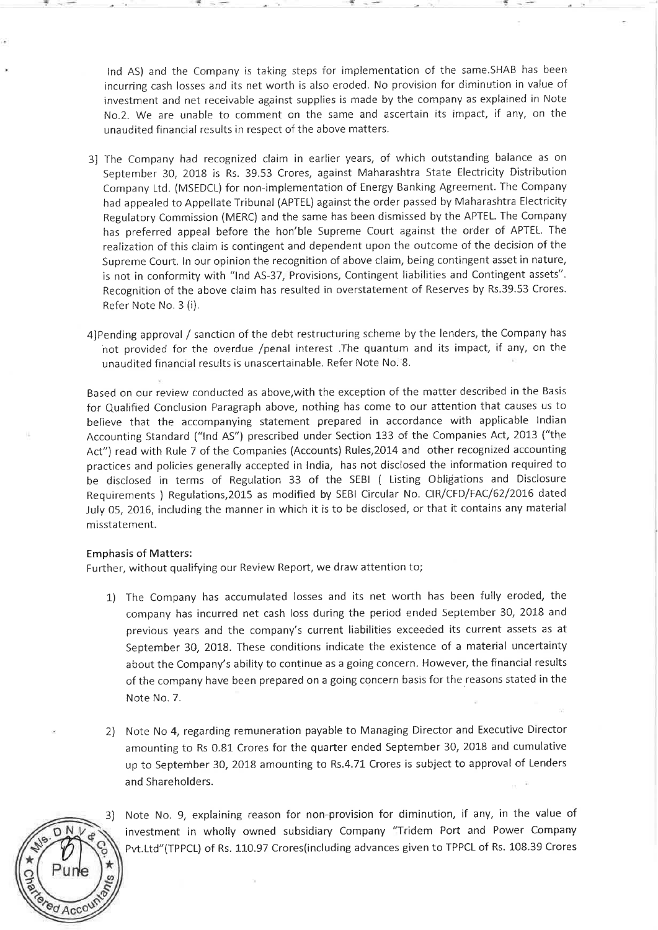lnd AS) and the Company is taking steps for implementation of the same.SHAB has been incurring cash losses and its net worth is also eroded. No provision for diminution in value of investment and net receivable against supplies is made by the company as explained in Note No.2. We are unable to comment on the same and ascertain its impact, if any, on the unaudited financial results in respect of the above matters.

"!'

- 3] The Company had recognized claim in earlier years, of which outstanding balance as on September 30, 2018 is Rs. 39.53 Crores, against Maharashtra State Electricity Distribution Company Ltd. (MSEDCL) for non-implementation of Energy Banking Agreement. The Company had appealed to Appellate Tribunal (APTEL) against the order passed by Maharashtra Electricity Regulatory Commission (MERC) and the same has been dismissed by the APTEL. The Company has preferred appeal before the hon'ble Supreme Court against the order of APTEL. The realization of this claim is contingent and dependent upon the outcome of the decision of the Supreme Court. In our opinion the recognition of above claim, being contingent asset in nature, is not in conformity with "Ind AS-37, Provisions, Contingent liabilities and Contingent assets". Recognition of the above claim has resulted in overstatement of Reserves by Rs.39.53 Crores. Refer Note No. 3 (i).
- 4)Pending approval / sanction of the debt restructuring scheme by the lenders, the Company has not provided for the overdue /penal interest .The quantum and its impact, if any, on the unaudited financial results is unascertainable. Refer Note No. '8.

Based on our review conducted as above, with the exception of the matter described in the Basi<sup>s</sup> for Qualified Conclusion Paragraph above, nothing has come to our attention that causes us to believe that the accompanying statement prepared in accordance with applicable Indian Accounting Standard ("lnd AS") prescribed under Section 133 of the Companies Act, 2013 ("the Act") read with Rule 7 of the Companies (Accounts) Rules,2014 and other recognized accounting practices and policies generally accepted in India, has not disclosed the information required to be disclosed in terms of Regulation 33 of the SEBI ( Listing Obligations and Disclosure Requirements ) Regulations,2015 as modified by SEBI Circular No. CIR/CFD/FAC/62/2016 dated July 05, 2016, including the manner in which it is to be disclosed, or that it contains any material misstatement.

#### Emphasis of Matters:

Further, without qualifying our Review Report, we draw attention to;

- 1) The Company has accumulated losses and its net worth has been fully eroded, the company has incurred net cash loss during the period ended September 30, 2018 and previous years and the company's current liabilities exceeded its current assets as at September 30, 2018. These conditions indicate the existence of a material uncertainty about the Company's ability to continue as a going concern. However, the financial results of the company have been prepared on a going concern basis for the reasons stated in the Note No.7.
- 2) Note No 4, regarding remuneration payable to Managing Director and Executive Director amounting to Rs 0.81 Crores for the quarter ended September 30, 2018 and cumulative up to September 30, 2018 amounting to Rs.4. 71 Crores is subject to approval of Lenders and Shareholders.



Note No. 9, explaining reason for non-provision for diminution, if any, in the value of investment in wholly owned subsidiary Company "Tridem Port and Power Company Pvt.Ltd"(TPPCL) of Rs. 110.97 Crores(including advances given to TPPCL of Rs. 108.39 Crores